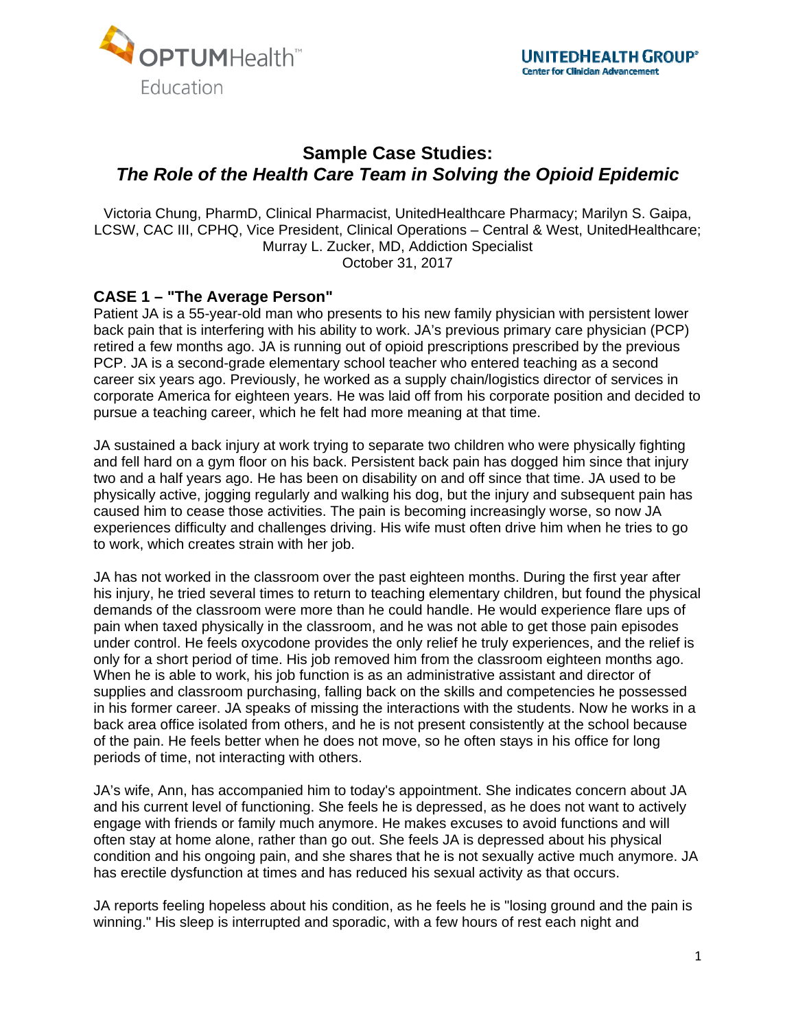



## **Sample Case Studies:**  *The Role of the Health Care Team in Solving the Opioid Epidemic*

Victoria Chung, PharmD, Clinical Pharmacist, UnitedHealthcare Pharmacy; Marilyn S. Gaipa, LCSW, CAC III, CPHQ, Vice President, Clinical Operations – Central & West, UnitedHealthcare; Murray L. Zucker, MD, Addiction Specialist October 31, 2017

## **CASE 1 – "The Average Person"**

Patient JA is a 55-year-old man who presents to his new family physician with persistent lower back pain that is interfering with his ability to work. JA's previous primary care physician (PCP) retired a few months ago. JA is running out of opioid prescriptions prescribed by the previous PCP. JA is a second-grade elementary school teacher who entered teaching as a second career six years ago. Previously, he worked as a supply chain/logistics director of services in corporate America for eighteen years. He was laid off from his corporate position and decided to pursue a teaching career, which he felt had more meaning at that time.

JA sustained a back injury at work trying to separate two children who were physically fighting and fell hard on a gym floor on his back. Persistent back pain has dogged him since that injury two and a half years ago. He has been on disability on and off since that time. JA used to be physically active, jogging regularly and walking his dog, but the injury and subsequent pain has caused him to cease those activities. The pain is becoming increasingly worse, so now JA experiences difficulty and challenges driving. His wife must often drive him when he tries to go to work, which creates strain with her job.

JA has not worked in the classroom over the past eighteen months. During the first year after his injury, he tried several times to return to teaching elementary children, but found the physical demands of the classroom were more than he could handle. He would experience flare ups of pain when taxed physically in the classroom, and he was not able to get those pain episodes under control. He feels oxycodone provides the only relief he truly experiences, and the relief is only for a short period of time. His job removed him from the classroom eighteen months ago. When he is able to work, his job function is as an administrative assistant and director of supplies and classroom purchasing, falling back on the skills and competencies he possessed in his former career. JA speaks of missing the interactions with the students. Now he works in a back area office isolated from others, and he is not present consistently at the school because of the pain. He feels better when he does not move, so he often stays in his office for long periods of time, not interacting with others.

JA's wife, Ann, has accompanied him to today's appointment. She indicates concern about JA and his current level of functioning. She feels he is depressed, as he does not want to actively engage with friends or family much anymore. He makes excuses to avoid functions and will often stay at home alone, rather than go out. She feels JA is depressed about his physical condition and his ongoing pain, and she shares that he is not sexually active much anymore. JA has erectile dysfunction at times and has reduced his sexual activity as that occurs.

JA reports feeling hopeless about his condition, as he feels he is "losing ground and the pain is winning." His sleep is interrupted and sporadic, with a few hours of rest each night and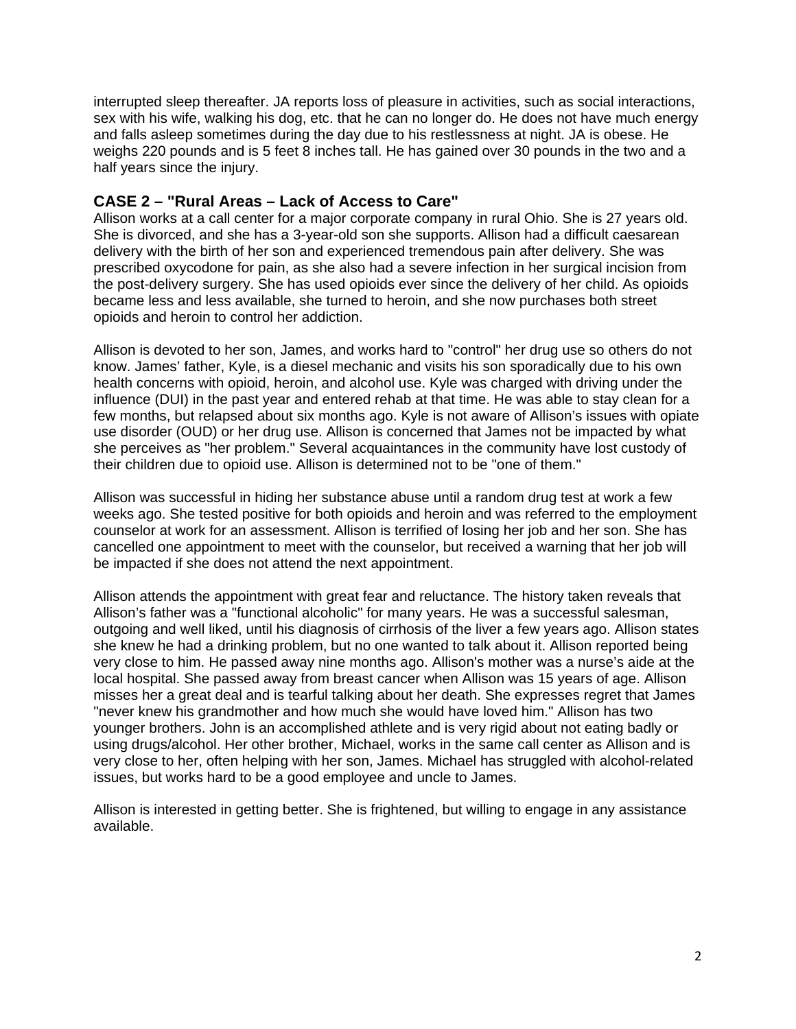interrupted sleep thereafter. JA reports loss of pleasure in activities, such as social interactions, sex with his wife, walking his dog, etc. that he can no longer do. He does not have much energy and falls asleep sometimes during the day due to his restlessness at night. JA is obese. He weighs 220 pounds and is 5 feet 8 inches tall. He has gained over 30 pounds in the two and a half years since the injury.

## **CASE 2 – "Rural Areas – Lack of Access to Care"**

Allison works at a call center for a major corporate company in rural Ohio. She is 27 years old. She is divorced, and she has a 3-year-old son she supports. Allison had a difficult caesarean delivery with the birth of her son and experienced tremendous pain after delivery. She was prescribed oxycodone for pain, as she also had a severe infection in her surgical incision from the post-delivery surgery. She has used opioids ever since the delivery of her child. As opioids became less and less available, she turned to heroin, and she now purchases both street opioids and heroin to control her addiction.

Allison is devoted to her son, James, and works hard to "control" her drug use so others do not know. James' father, Kyle, is a diesel mechanic and visits his son sporadically due to his own health concerns with opioid, heroin, and alcohol use. Kyle was charged with driving under the influence (DUI) in the past year and entered rehab at that time. He was able to stay clean for a few months, but relapsed about six months ago. Kyle is not aware of Allison's issues with opiate use disorder (OUD) or her drug use. Allison is concerned that James not be impacted by what she perceives as "her problem." Several acquaintances in the community have lost custody of their children due to opioid use. Allison is determined not to be "one of them."

Allison was successful in hiding her substance abuse until a random drug test at work a few weeks ago. She tested positive for both opioids and heroin and was referred to the employment counselor at work for an assessment. Allison is terrified of losing her job and her son. She has cancelled one appointment to meet with the counselor, but received a warning that her job will be impacted if she does not attend the next appointment.

Allison attends the appointment with great fear and reluctance. The history taken reveals that Allison's father was a "functional alcoholic" for many years. He was a successful salesman, outgoing and well liked, until his diagnosis of cirrhosis of the liver a few years ago. Allison states she knew he had a drinking problem, but no one wanted to talk about it. Allison reported being very close to him. He passed away nine months ago. Allison's mother was a nurse's aide at the local hospital. She passed away from breast cancer when Allison was 15 years of age. Allison misses her a great deal and is tearful talking about her death. She expresses regret that James "never knew his grandmother and how much she would have loved him." Allison has two younger brothers. John is an accomplished athlete and is very rigid about not eating badly or using drugs/alcohol. Her other brother, Michael, works in the same call center as Allison and is very close to her, often helping with her son, James. Michael has struggled with alcohol-related issues, but works hard to be a good employee and uncle to James.

Allison is interested in getting better. She is frightened, but willing to engage in any assistance available.